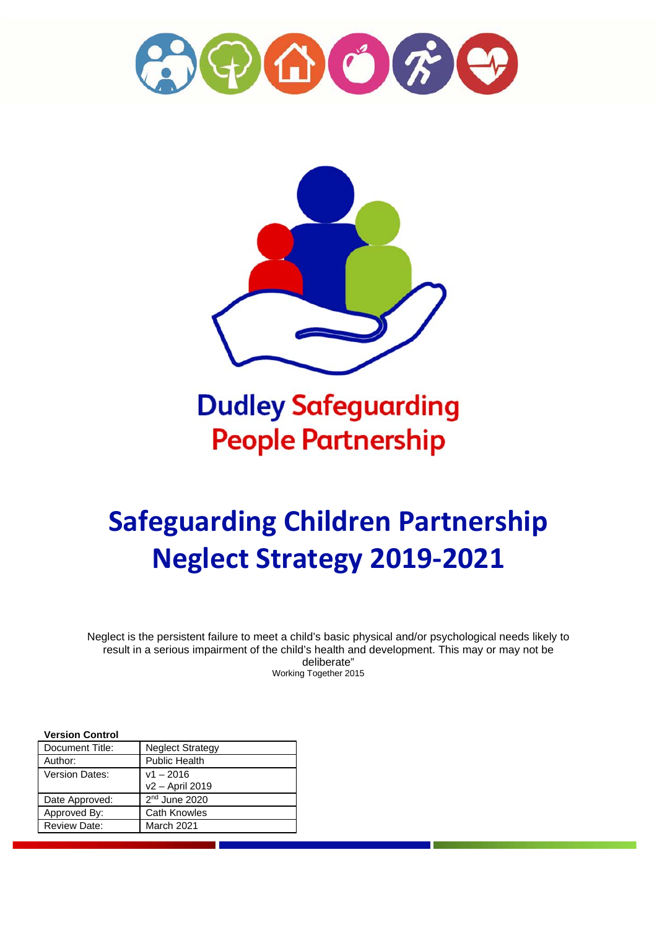



**Dudley Safeguarding People Partnership** 

# **Safeguarding Children Partnership Neglect Strategy 2019-2021**

Neglect is the persistent failure to meet a child's basic physical and/or psychological needs likely to result in a serious impairment of the child's health and development. This may or may not be deliberate" Working Together 2015

#### **Version Control**

| Document Title:       | <b>Neglect Strategy</b> |
|-----------------------|-------------------------|
| Author:               | <b>Public Health</b>    |
| <b>Version Dates:</b> | $v1 - 2016$             |
|                       | v2 - April 2019         |
| Date Approved:        | $2nd$ June 2020         |
| Approved By:          | <b>Cath Knowles</b>     |
| <b>Review Date:</b>   | March 2021              |
|                       |                         |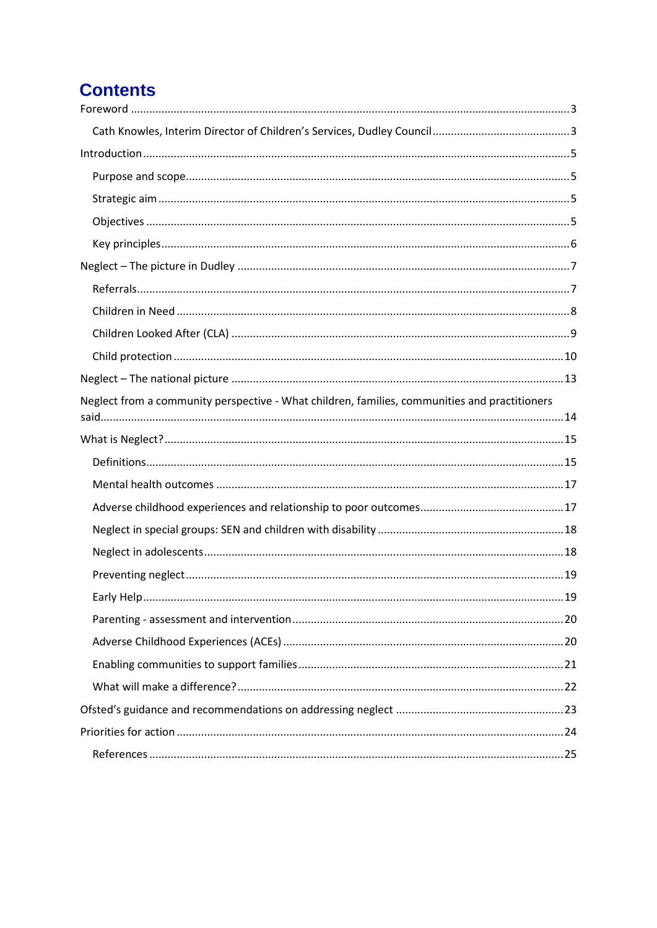## **Contents**

| Neglect from a community perspective - What children, families, communities and practitioners |
|-----------------------------------------------------------------------------------------------|
|                                                                                               |
|                                                                                               |
|                                                                                               |
|                                                                                               |
|                                                                                               |
|                                                                                               |
|                                                                                               |
|                                                                                               |
|                                                                                               |
|                                                                                               |
|                                                                                               |
|                                                                                               |
|                                                                                               |
|                                                                                               |
|                                                                                               |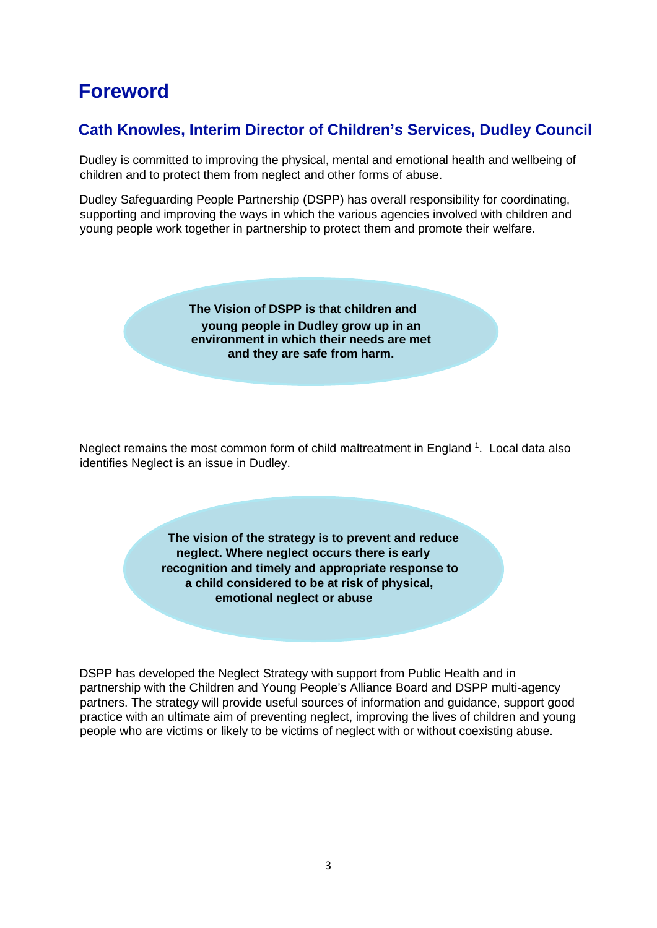## <span id="page-2-0"></span>**Foreword**

## <span id="page-2-1"></span>**Cath Knowles, Interim Director of Children's Services, Dudley Council**

Dudley is committed to improving the physical, mental and emotional health and wellbeing of children and to protect them from neglect and other forms of abuse.

Dudley Safeguarding People Partnership (DSPP) has overall responsibility for coordinating, supporting and improving the ways in which the various agencies involved with children and young people work together in partnership to protect them and promote their welfare.

> **The Vision of DSPP is that children and young people in Dudley grow up in an environment in which their needs are met and they are safe from harm.**

Neglect remains the most common form of child maltreatment in England<sup>1</sup>. Local data also identifies Neglect is an issue in Dudley.

> **The vision of the strategy is to prevent and reduce neglect. Where neglect occurs there is early recognition and timely and appropriate response to a child considered to be at risk of physical, emotional neglect or abuse**

DSPP has developed the Neglect Strategy with support from Public Health and in partnership with the Children and Young People's Alliance Board and DSPP multi-agency partners. The strategy will provide useful sources of information and guidance, support good practice with an ultimate aim of preventing neglect, improving the lives of children and young people who are victims or likely to be victims of neglect with or without coexisting abuse.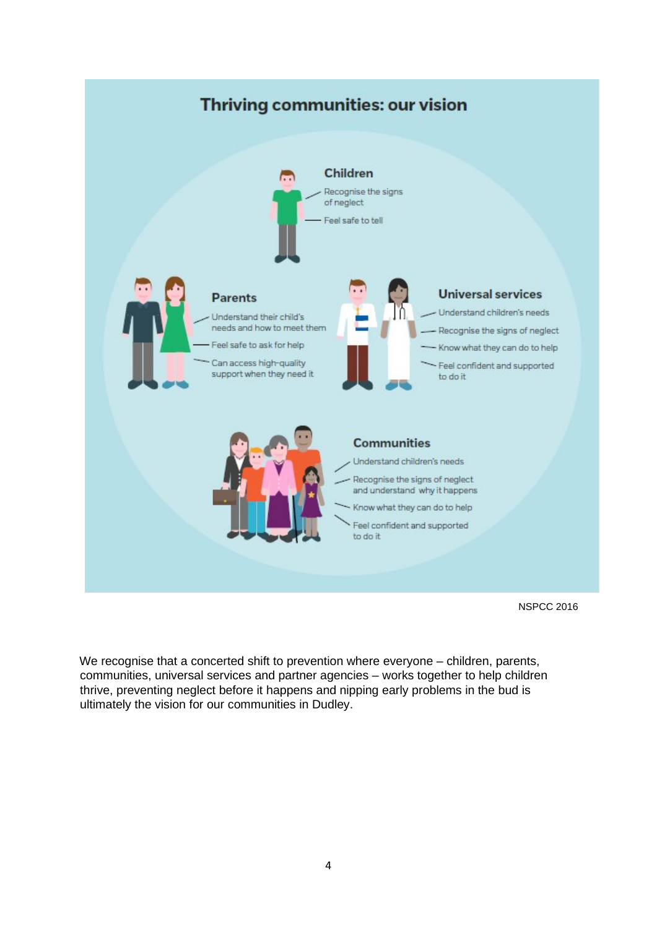

NSPCC 2016

We recognise that a concerted shift to prevention where everyone – children, parents, communities, universal services and partner agencies – works together to help children thrive, preventing neglect before it happens and nipping early problems in the bud is ultimately the vision for our communities in Dudley.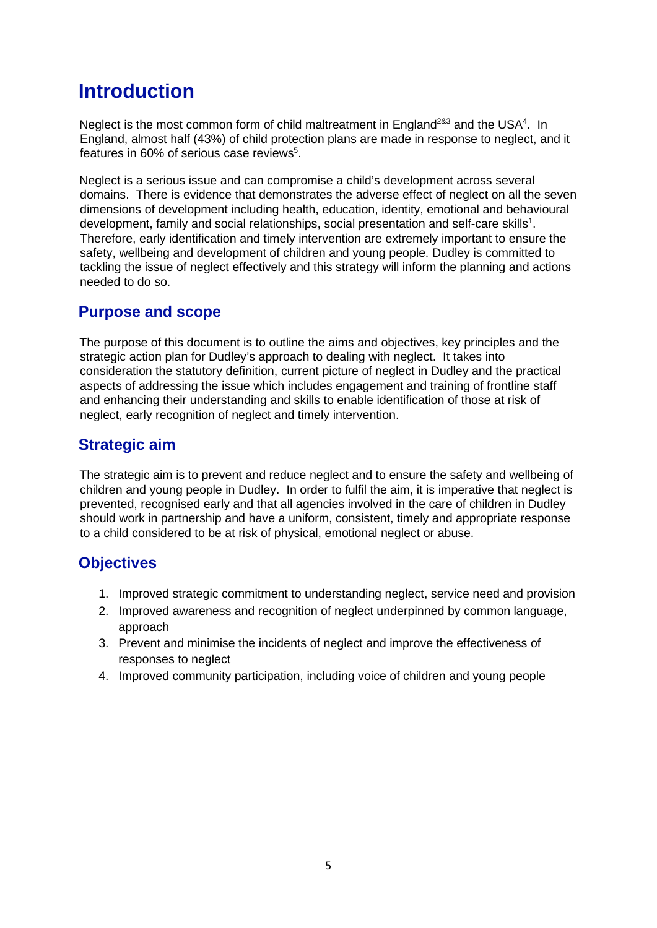## <span id="page-4-0"></span>**Introduction**

Neglect is the most common form of child maltreatment in England<sup>2&3</sup> and the USA<sup>4</sup>. In England, almost half (43%) of child protection plans are made in response to neglect, and it features in 60% of serious case reviews<sup>5</sup>.

Neglect is a serious issue and can compromise a child's development across several domains. There is evidence that demonstrates the adverse effect of neglect on all the seven dimensions of development including health, education, identity, emotional and behavioural development, family and social relationships, social presentation and self-care skills<sup>1</sup>. Therefore, early identification and timely intervention are extremely important to ensure the safety, wellbeing and development of children and young people. Dudley is committed to tackling the issue of neglect effectively and this strategy will inform the planning and actions needed to do so.

### <span id="page-4-1"></span>**Purpose and scope**

The purpose of this document is to outline the aims and objectives, key principles and the strategic action plan for Dudley's approach to dealing with neglect. It takes into consideration the statutory definition, current picture of neglect in Dudley and the practical aspects of addressing the issue which includes engagement and training of frontline staff and enhancing their understanding and skills to enable identification of those at risk of neglect, early recognition of neglect and timely intervention.

## <span id="page-4-2"></span>**Strategic aim**

The strategic aim is to prevent and reduce neglect and to ensure the safety and wellbeing of children and young people in Dudley. In order to fulfil the aim, it is imperative that neglect is prevented, recognised early and that all agencies involved in the care of children in Dudley should work in partnership and have a uniform, consistent, timely and appropriate response to a child considered to be at risk of physical, emotional neglect or abuse.

### <span id="page-4-3"></span>**Objectives**

- 1. Improved strategic commitment to understanding neglect, service need and provision
- 2. Improved awareness and recognition of neglect underpinned by common language, approach
- 3. Prevent and minimise the incidents of neglect and improve the effectiveness of responses to neglect
- 4. Improved community participation, including voice of children and young people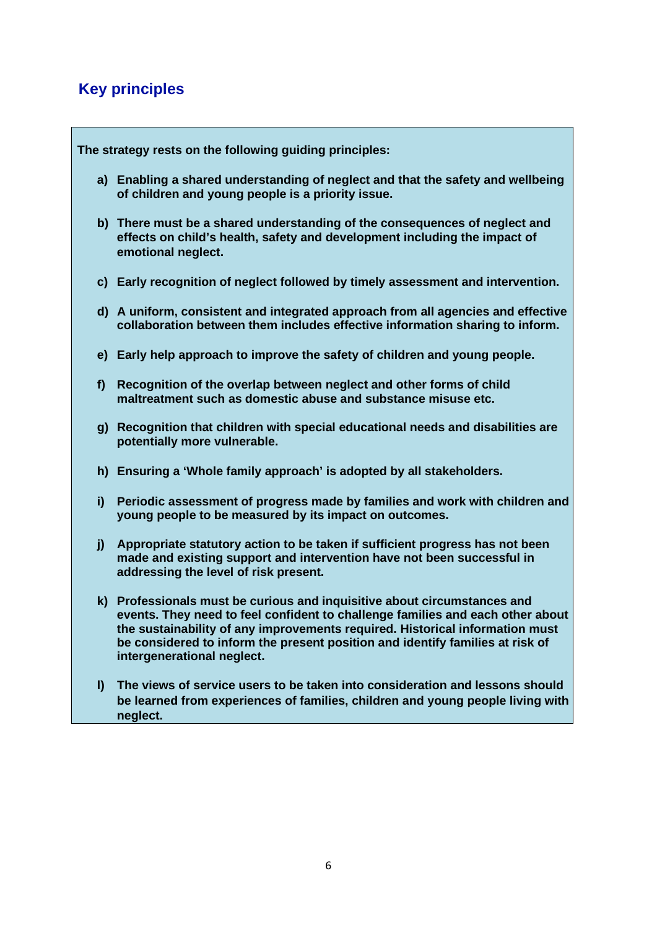## <span id="page-5-0"></span>**Key principles**

**The strategy rests on the following guiding principles:** 

- **a) Enabling a shared understanding of neglect and that the safety and wellbeing of children and young people is a priority issue.**
- **b) There must be a shared understanding of the consequences of neglect and effects on child's health, safety and development including the impact of emotional neglect.**
- **c) Early recognition of neglect followed by timely assessment and intervention.**
- **d) A uniform, consistent and integrated approach from all agencies and effective collaboration between them includes effective information sharing to inform.**
- **e) Early help approach to improve the safety of children and young people.**
- **f) Recognition of the overlap between neglect and other forms of child maltreatment such as domestic abuse and substance misuse etc.**
- **g) Recognition that children with special educational needs and disabilities are potentially more vulnerable.**
- **h) Ensuring a 'Whole family approach' is adopted by all stakeholders.**
- **i) Periodic assessment of progress made by families and work with children and young people to be measured by its impact on outcomes.**
- **j) Appropriate statutory action to be taken if sufficient progress has not been made and existing support and intervention have not been successful in addressing the level of risk present.**
- **k) Professionals must be curious and inquisitive about circumstances and events. They need to feel confident to challenge families and each other about the sustainability of any improvements required. Historical information must be considered to inform the present position and identify families at risk of intergenerational neglect.**
- **l) The views of service users to be taken into consideration and lessons should be learned from experiences of families, children and young people living with neglect.**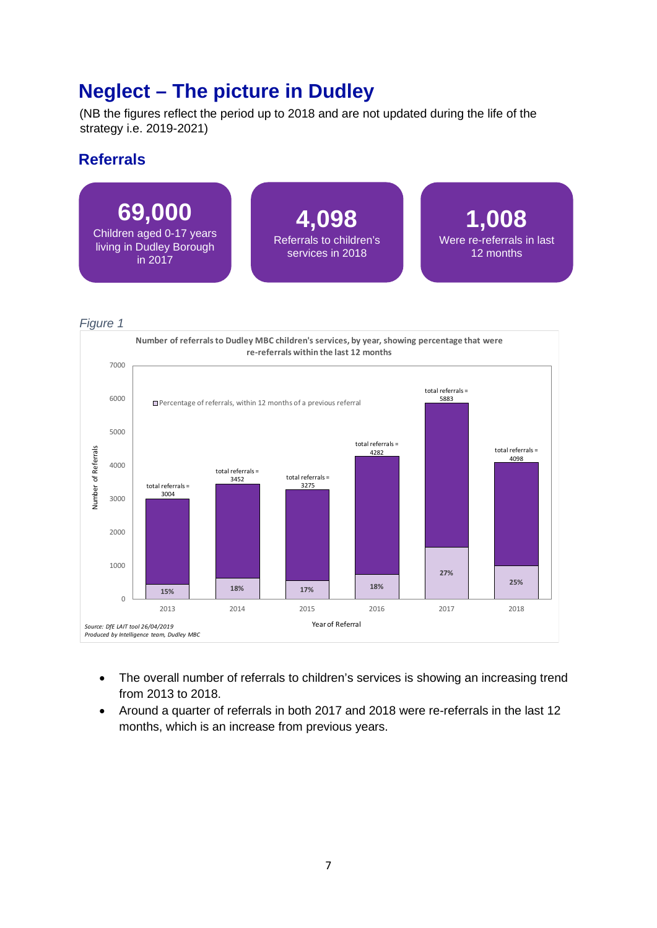## <span id="page-6-0"></span>**Neglect – The picture in Dudley**

(NB the figures reflect the period up to 2018 and are not updated during the life of the strategy i.e. 2019-2021)

### <span id="page-6-1"></span>**Referrals**



*Figure 1*



- The overall number of referrals to children's services is showing an increasing trend from 2013 to 2018.
- Around a quarter of referrals in both 2017 and 2018 were re-referrals in the last 12 months, which is an increase from previous years.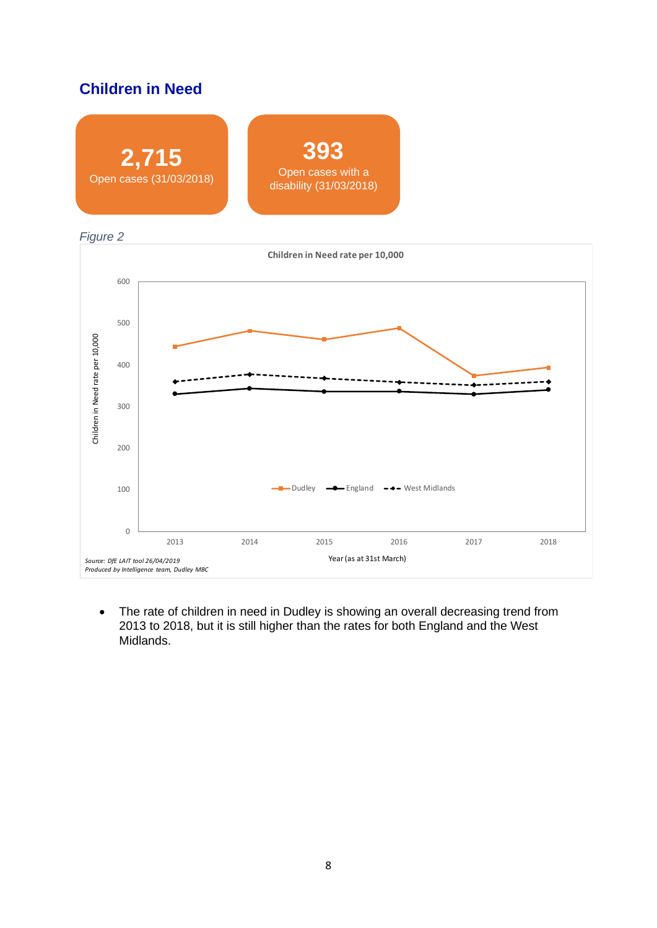## <span id="page-7-0"></span>**Children in Need**







• The rate of children in need in Dudley is showing an overall decreasing trend from 2013 to 2018, but it is still higher than the rates for both England and the West Midlands.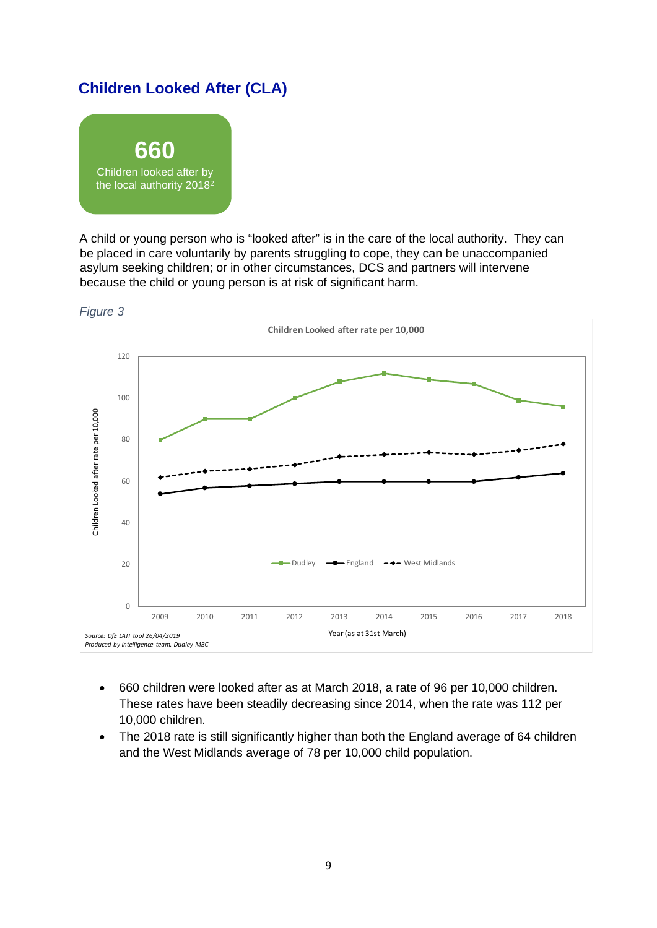## <span id="page-8-0"></span>**Children Looked After (CLA)**



A child or young person who is "looked after" is in the care of the local authority. They can be placed in care voluntarily by parents struggling to cope, they can be unaccompanied asylum seeking children; or in other circumstances, DCS and partners will intervene because the child or young person is at risk of significant harm.



- 660 children were looked after as at March 2018, a rate of 96 per 10,000 children. These rates have been steadily decreasing since 2014, when the rate was 112 per 10,000 children.
- The 2018 rate is still significantly higher than both the England average of 64 children and the West Midlands average of 78 per 10,000 child population.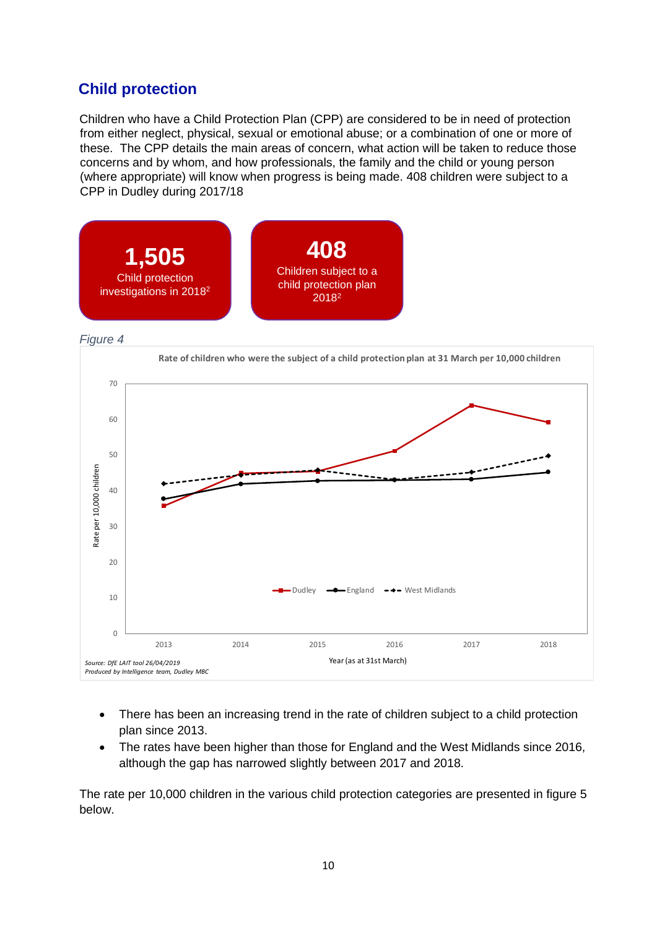## <span id="page-9-0"></span>**Child protection**

Children who have a Child Protection Plan (CPP) are considered to be in need of protection from either neglect, physical, sexual or emotional abuse; or a combination of one or more of these. The CPP details the main areas of concern, what action will be taken to reduce those concerns and by whom, and how professionals, the family and the child or young person (where appropriate) will know when progress is being made. 408 children were subject to a CPP in Dudley during 2017/18



*Figure 4*



- There has been an increasing trend in the rate of children subject to a child protection plan since 2013.
- The rates have been higher than those for England and the West Midlands since 2016, although the gap has narrowed slightly between 2017 and 2018.

The rate per 10,000 children in the various child protection categories are presented in figure 5 below.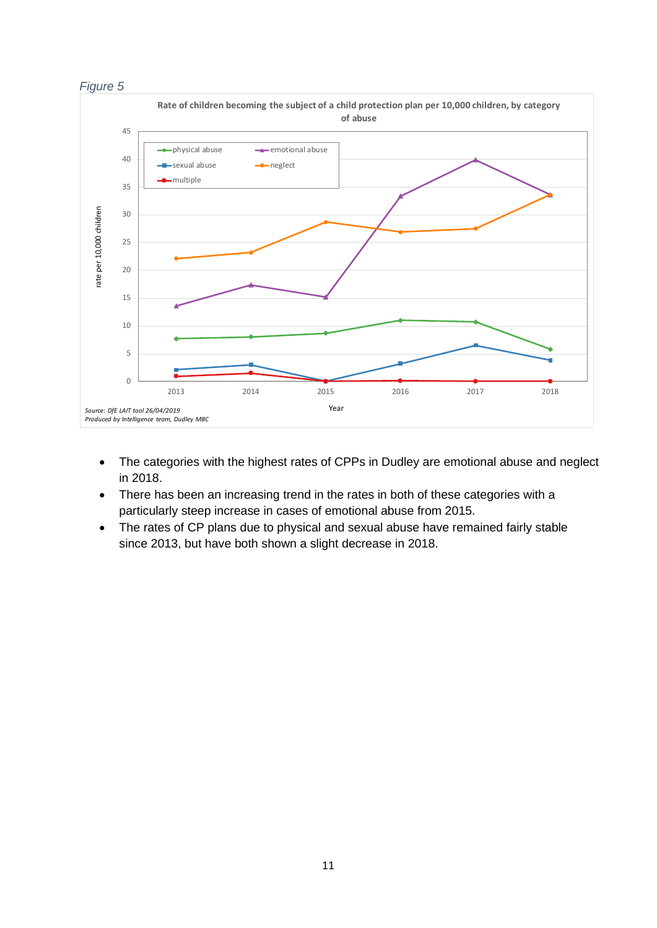



- The categories with the highest rates of CPPs in Dudley are emotional abuse and neglect in 2018.
- There has been an increasing trend in the rates in both of these categories with a particularly steep increase in cases of emotional abuse from 2015.
- The rates of CP plans due to physical and sexual abuse have remained fairly stable since 2013, but have both shown a slight decrease in 2018.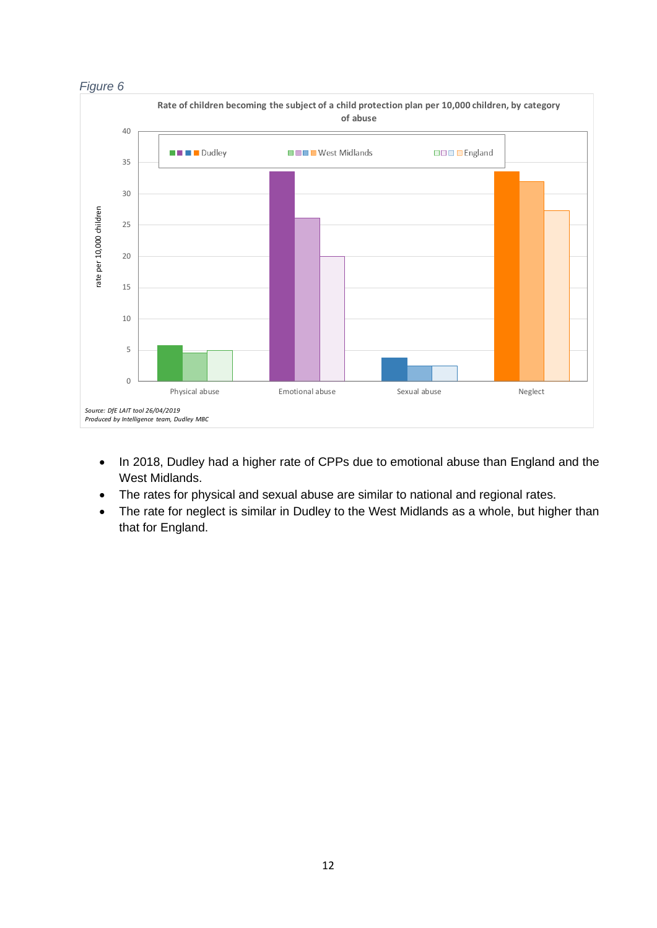

- In 2018, Dudley had a higher rate of CPPs due to emotional abuse than England and the West Midlands.
- The rates for physical and sexual abuse are similar to national and regional rates.
- The rate for neglect is similar in Dudley to the West Midlands as a whole, but higher than that for England.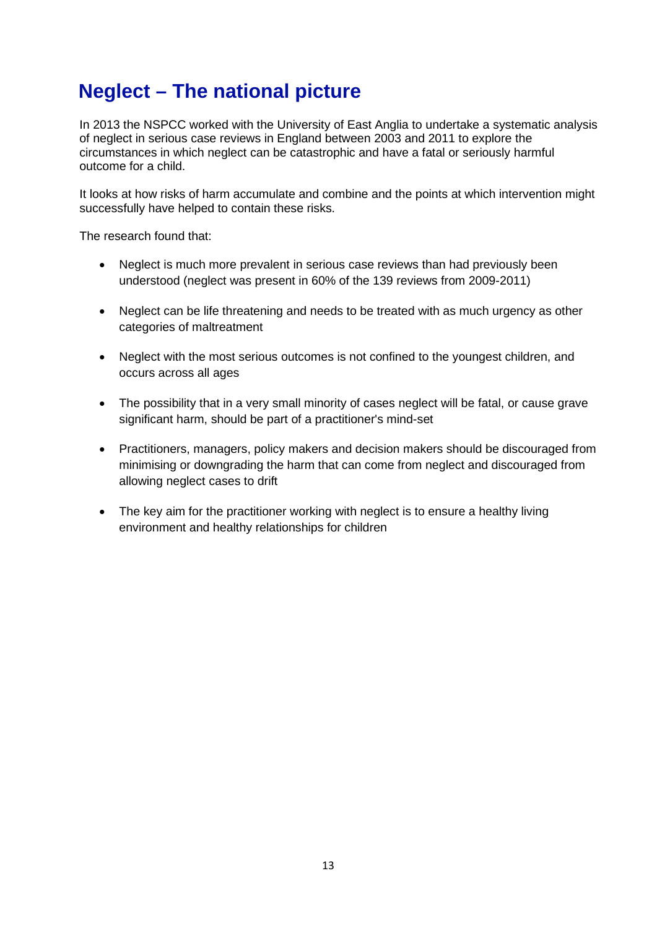## <span id="page-12-0"></span>**Neglect – The national picture**

In 2013 the NSPCC worked with the University of East Anglia to undertake a systematic analysis of neglect in serious case reviews in England between 2003 and 2011 to explore the circumstances in which neglect can be catastrophic and have a fatal or seriously harmful outcome for a child.

It looks at how risks of harm accumulate and combine and the points at which intervention might successfully have helped to contain these risks.

The research found that:

- Neglect is much more prevalent in serious case reviews than had previously been understood (neglect was present in 60% of the 139 reviews from 2009-2011)
- Neglect can be life threatening and needs to be treated with as much urgency as other categories of maltreatment
- Neglect with the most serious outcomes is not confined to the youngest children, and occurs across all ages
- The possibility that in a very small minority of cases neglect will be fatal, or cause grave significant harm, should be part of a practitioner's mind-set
- Practitioners, managers, policy makers and decision makers should be discouraged from minimising or downgrading the harm that can come from neglect and discouraged from allowing neglect cases to drift
- The key aim for the practitioner working with neglect is to ensure a healthy living environment and healthy relationships for children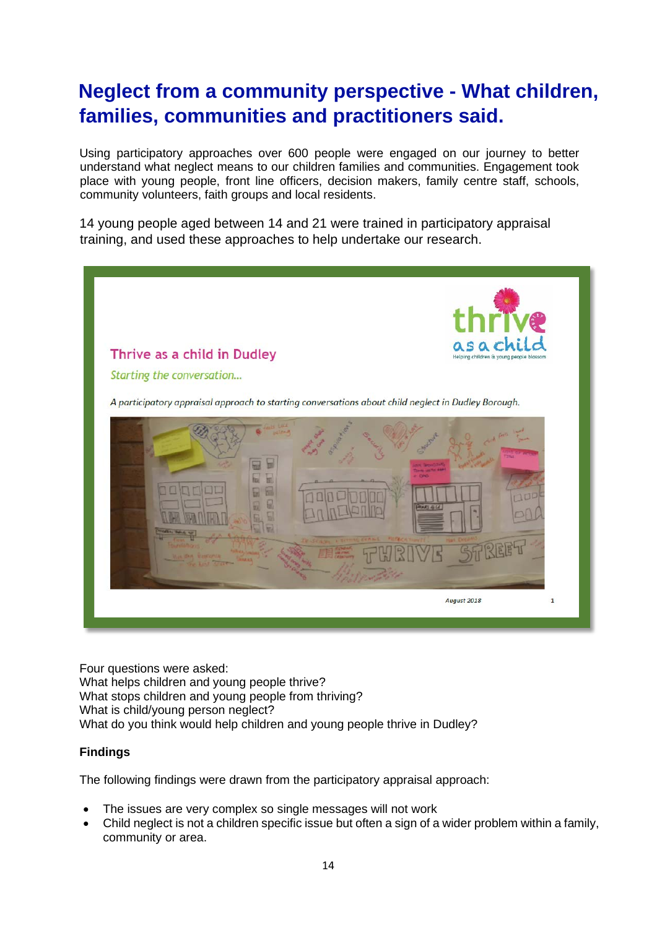## <span id="page-13-0"></span>**Neglect from a community perspective - What children, families, communities and practitioners said.**

Using participatory approaches over 600 people were engaged on our journey to better understand what neglect means to our children families and communities. Engagement took place with young people, front line officers, decision makers, family centre staff, schools, community volunteers, faith groups and local residents.

14 young people aged between 14 and 21 were trained in participatory appraisal training, and used these approaches to help undertake our research.



Four questions were asked: What helps children and young people thrive? What stops children and young people from thriving? What is child/young person neglect? What do you think would help children and young people thrive in Dudley?

#### **Findings**

The following findings were drawn from the participatory appraisal approach:

- The issues are very complex so single messages will not work
- Child neglect is not a children specific issue but often a sign of a wider problem within a family, community or area.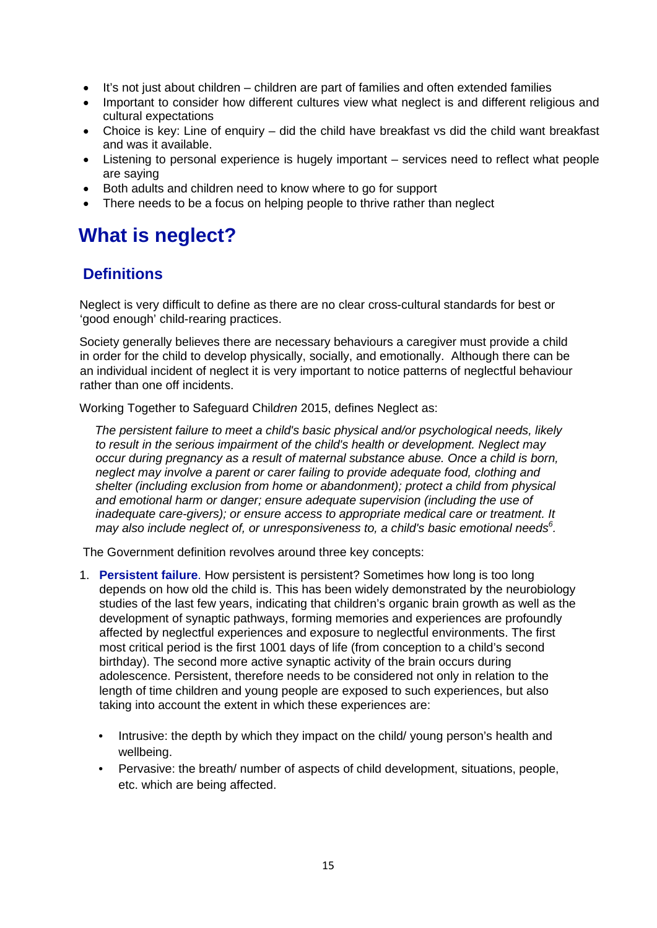- It's not just about children children are part of families and often extended families
- Important to consider how different cultures view what neglect is and different religious and cultural expectations
- Choice is key: Line of enquiry did the child have breakfast vs did the child want breakfast and was it available.
- Listening to personal experience is hugely important services need to reflect what people are saying
- Both adults and children need to know where to go for support
- There needs to be a focus on helping people to thrive rather than neglect

## <span id="page-14-0"></span>**What is neglect?**

## <span id="page-14-1"></span>**Definitions**

Neglect is very difficult to define as there are no clear cross-cultural standards for best or 'good enough' child-rearing practices.

Society generally believes there are necessary behaviours a caregiver must provide a child in order for the child to develop physically, socially, and emotionally. Although there can be an individual incident of neglect it is very important to notice patterns of neglectful behaviour rather than one off incidents.

Working Together to Safeguard Chil*dren* 2015, defines Neglect as:

*The persistent failure to meet a child's basic physical and/or psychological needs, likely to result in the serious impairment of the child's health or development. Neglect may occur during pregnancy as a result of maternal substance abuse. Once a child is born, neglect may involve a parent or carer failing to provide adequate food, clothing and shelter (including exclusion from home or abandonment); protect a child from physical and emotional harm or danger; ensure adequate supervision (including the use of inadequate care-givers); or ensure access to appropriate medical care or treatment. It may also include neglect of, or unresponsiveness to, a child's basic emotional needs<sup>6</sup> .*

The Government definition revolves around three key concepts:

- 1. **Persistent failure**. How persistent is persistent? Sometimes how long is too long depends on how old the child is. This has been widely demonstrated by the neurobiology studies of the last few years, indicating that children's organic brain growth as well as the development of synaptic pathways, forming memories and experiences are profoundly affected by neglectful experiences and exposure to neglectful environments. The first most critical period is the first 1001 days of life (from conception to a child's second birthday). The second more active synaptic activity of the brain occurs during adolescence. Persistent, therefore needs to be considered not only in relation to the length of time children and young people are exposed to such experiences, but also taking into account the extent in which these experiences are:
	- Intrusive: the depth by which they impact on the child/ young person's health and wellbeing.
	- Pervasive: the breath/ number of aspects of child development, situations, people, etc. which are being affected.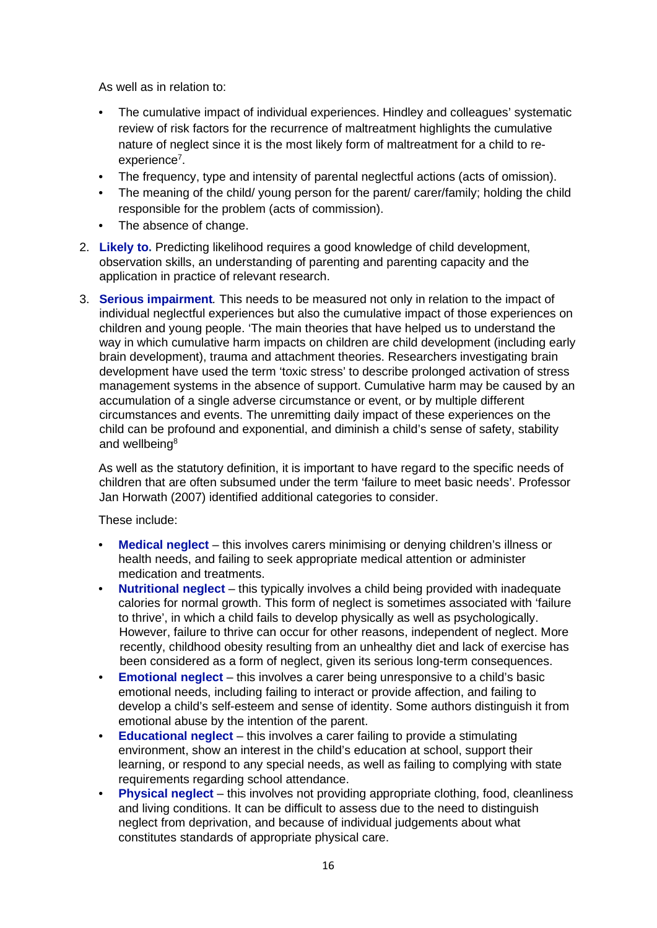As well as in relation to:

- The cumulative impact of individual experiences. Hindley and colleagues' systematic review of risk factors for the recurrence of maltreatment highlights the cumulative nature of neglect since it is the most likely form of maltreatment for a child to reexperience<sup>7</sup>.
- The frequency, type and intensity of parental neglectful actions (acts of omission).
- The meaning of the child/ young person for the parent/ carer/family; holding the child responsible for the problem (acts of commission).
- The absence of change.
- 2. **Likely to.** Predicting likelihood requires a good knowledge of child development, observation skills, an understanding of parenting and parenting capacity and the application in practice of relevant research.
- 3. **Serious impairment***.* This needs to be measured not only in relation to the impact of individual neglectful experiences but also the cumulative impact of those experiences on children and young people. 'The main theories that have helped us to understand the way in which cumulative harm impacts on children are child development (including early brain development), trauma and attachment theories. Researchers investigating brain development have used the term 'toxic stress' to describe prolonged activation of stress management systems in the absence of support. Cumulative harm may be caused by an accumulation of a single adverse circumstance or event, or by multiple different circumstances and events. The unremitting daily impact of these experiences on the child can be profound and exponential, and diminish a child's sense of safety, stability and wellbeing<sup>8</sup>

As well as the statutory definition, it is important to have regard to the specific needs of children that are often subsumed under the term 'failure to meet basic needs'. Professor Jan Horwath (2007) identified additional categories to consider.

These include:

- **Medical neglect** this involves carers minimising or denying children's illness or health needs, and failing to seek appropriate medical attention or administer medication and treatments.
- **Nutritional neglect** this typically involves a child being provided with inadequate calories for normal growth. This form of neglect is sometimes associated with 'failure to thrive', in which a child fails to develop physically as well as psychologically. However, failure to thrive can occur for other reasons, independent of neglect. More recently, childhood obesity resulting from an unhealthy diet and lack of exercise has been considered as a form of neglect, given its serious long-term consequences.
- **Emotional neglect** this involves a carer being unresponsive to a child's basic emotional needs, including failing to interact or provide affection, and failing to develop a child's self-esteem and sense of identity. Some authors distinguish it from emotional abuse by the intention of the parent.
- **Educational neglect** this involves a carer failing to provide a stimulating environment, show an interest in the child's education at school, support their learning, or respond to any special needs, as well as failing to complying with state requirements regarding school attendance.
- **Physical neglect** this involves not providing appropriate clothing, food, cleanliness and living conditions. It can be difficult to assess due to the need to distinguish neglect from deprivation, and because of individual judgements about what constitutes standards of appropriate physical care.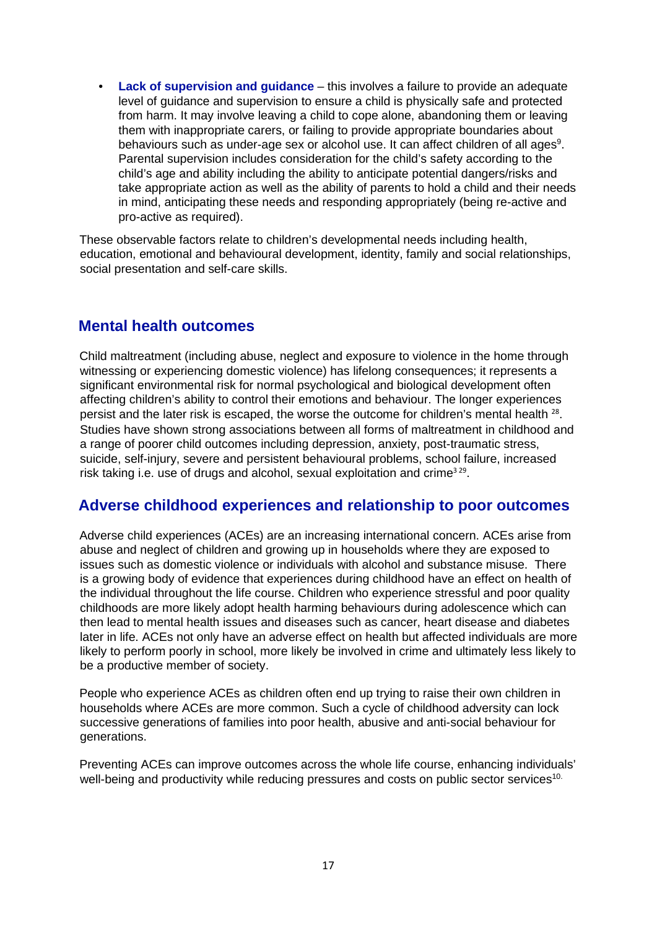• **Lack of supervision and guidance** – this involves a failure to provide an adequate level of guidance and supervision to ensure a child is physically safe and protected from harm. It may involve leaving a child to cope alone, abandoning them or leaving them with inappropriate carers, or failing to provide appropriate boundaries about behaviours such as under-age sex or alcohol use. It can affect children of all ages $^{\rm 9}$ . Parental supervision includes consideration for the child's safety according to the child's age and ability including the ability to anticipate potential dangers/risks and take appropriate action as well as the ability of parents to hold a child and their needs in mind, anticipating these needs and responding appropriately (being re-active and pro-active as required).

These observable factors relate to children's developmental needs including health, education, emotional and behavioural development, identity, family and social relationships, social presentation and self-care skills.

### <span id="page-16-0"></span>**Mental health outcomes**

Child maltreatment (including abuse, neglect and exposure to violence in the home through witnessing or experiencing domestic violence) has lifelong consequences; it represents a significant environmental risk for normal psychological and biological development often affecting children's ability to control their emotions and behaviour. The longer experiences persist and the later risk is escaped, the worse the outcome for children's mental health <sup>28</sup>. Studies have shown strong associations between all forms of maltreatment in childhood and a range of poorer child outcomes including depression, anxiety, post-traumatic stress, suicide, self-injury, severe and persistent behavioural problems, school failure, increased risk taking i.e. use of drugs and alcohol, sexual exploitation and crime<sup>329</sup>.

### <span id="page-16-1"></span>**Adverse childhood experiences and relationship to poor outcomes**

Adverse child experiences (ACEs) are an increasing international concern. ACEs arise from abuse and neglect of children and growing up in households where they are exposed to issues such as domestic violence or individuals with alcohol and substance misuse. There is a growing body of evidence that experiences during childhood have an effect on health of the individual throughout the life course. Children who experience stressful and poor quality childhoods are more likely adopt health harming behaviours during adolescence which can then lead to mental health issues and diseases such as cancer, heart disease and diabetes later in life. ACEs not only have an adverse effect on health but affected individuals are more likely to perform poorly in school, more likely be involved in crime and ultimately less likely to be a productive member of society.

People who experience ACEs as children often end up trying to raise their own children in households where ACEs are more common. Such a cycle of childhood adversity can lock successive generations of families into poor health, abusive and anti-social behaviour for generations.

Preventing ACEs can improve outcomes across the whole life course, enhancing individuals' well-being and productivity while reducing pressures and costs on public sector services<sup>10.</sup>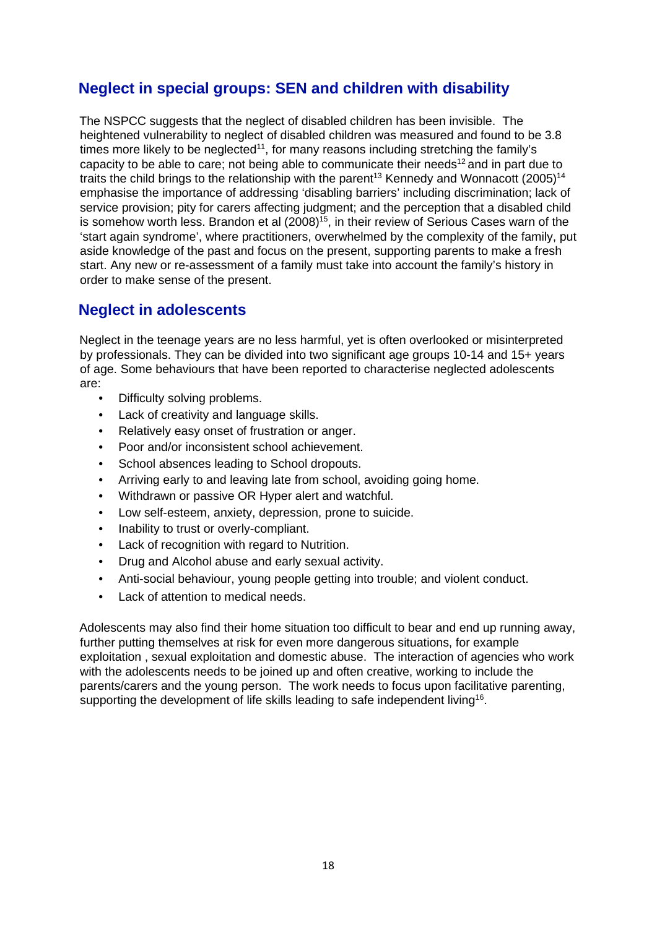## <span id="page-17-0"></span>**Neglect in special groups: SEN and children with disability**

The NSPCC suggests that the neglect of disabled children has been invisible. The heightened vulnerability to neglect of disabled children was measured and found to be 3.8 times more likely to be neglected<sup>11</sup>, for many reasons including stretching the family's capacity to be able to care; not being able to communicate their needs<sup>12</sup> and in part due to traits the child brings to the relationship with the parent<sup>13</sup> Kennedy and Wonnacott (2005)<sup>14</sup> emphasise the importance of addressing 'disabling barriers' including discrimination; lack of service provision; pity for carers affecting judgment; and the perception that a disabled child is somehow worth less. Brandon et al  $(2008)^{15}$ , in their review of Serious Cases warn of the 'start again syndrome', where practitioners, overwhelmed by the complexity of the family, put aside knowledge of the past and focus on the present, supporting parents to make a fresh start. Any new or re-assessment of a family must take into account the family's history in order to make sense of the present.

## <span id="page-17-1"></span>**Neglect in adolescents**

Neglect in the teenage years are no less harmful, yet is often overlooked or misinterpreted by professionals. They can be divided into two significant age groups 10-14 and 15+ years of age. Some behaviours that have been reported to characterise neglected adolescents are:

- Difficulty solving problems.
- Lack of creativity and language skills.
- Relatively easy onset of frustration or anger.
- Poor and/or inconsistent school achievement.
- School absences leading to School dropouts.
- Arriving early to and leaving late from school, avoiding going home.
- Withdrawn or passive OR Hyper alert and watchful.
- Low self-esteem, anxiety, depression, prone to suicide.
- Inability to trust or overly-compliant.
- Lack of recognition with regard to Nutrition.
- Drug and Alcohol abuse and early sexual activity.
- Anti-social behaviour, young people getting into trouble; and violent conduct.
- Lack of attention to medical needs.

Adolescents may also find their home situation too difficult to bear and end up running away, further putting themselves at risk for even more dangerous situations, for example exploitation , sexual exploitation and domestic abuse. The interaction of agencies who work with the adolescents needs to be joined up and often creative, working to include the parents/carers and the young person. The work needs to focus upon facilitative parenting, supporting the development of life skills leading to safe independent living<sup>16</sup>.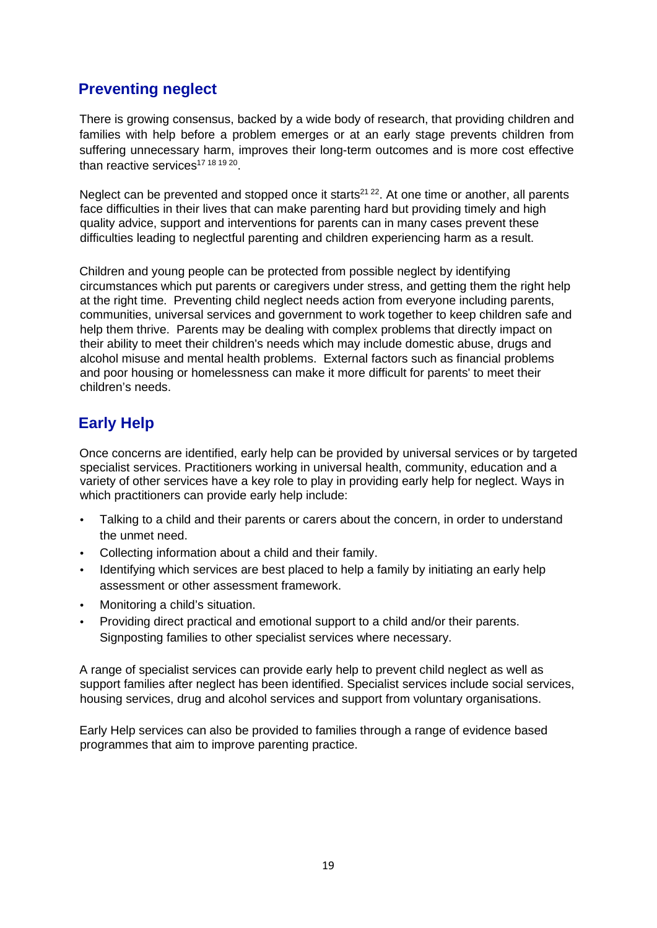## <span id="page-18-0"></span>**Preventing neglect**

There is growing consensus, backed by a wide body of research, that providing children and families with help before a problem emerges or at an early stage prevents children from suffering unnecessary harm, improves their long-term outcomes and is more cost effective than reactive services<sup>17 18 19 20</sup>.

Neglect can be prevented and stopped once it starts<sup>21, 22</sup>. At one time or another, all parents face difficulties in their lives that can make parenting hard but providing timely and high quality advice, support and interventions for parents can in many cases prevent these difficulties leading to neglectful parenting and children experiencing harm as a result.

Children and young people can be protected from possible neglect by identifying circumstances which put parents or caregivers under stress, and getting them the right help at the right time. Preventing child neglect needs action from everyone including parents, communities, universal services and government to work together to keep children safe and help them thrive. Parents may be dealing with complex problems that directly impact on their ability to meet their children's needs which may include domestic abuse, drugs and alcohol misuse and mental health problems. External factors such as financial problems and poor housing or homelessness can make it more difficult for parents' to meet their children's needs.

## <span id="page-18-1"></span>**Early Help**

Once concerns are identified, early help can be provided by universal services or by targeted specialist services. Practitioners working in universal health, community, education and a variety of other services have a key role to play in providing early help for neglect. Ways in which practitioners can provide early help include:

- Talking to a child and their parents or carers about the concern, in order to understand the unmet need.
- Collecting information about a child and their family.
- Identifying which services are best placed to help a family by initiating an early help assessment or other assessment framework.
- Monitoring a child's situation.
- Providing direct practical and emotional support to a child and/or their parents. Signposting families to other specialist services where necessary.

A range of specialist services can provide early help to prevent child neglect as well as support families after neglect has been identified. Specialist services include social services, housing services, drug and alcohol services and support from voluntary organisations.

Early Help services can also be provided to families through a range of evidence based programmes that aim to improve parenting practice.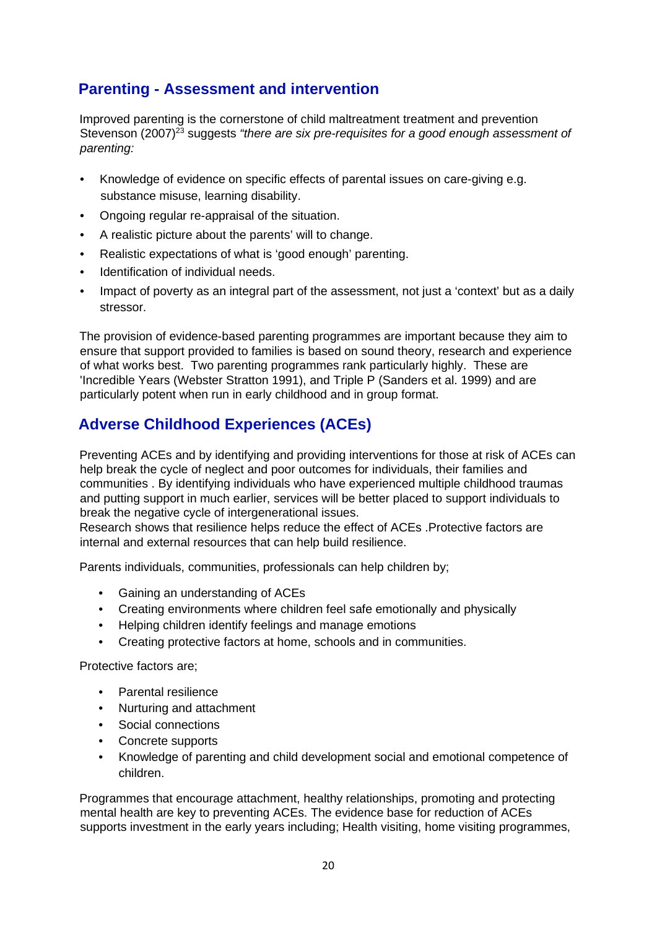## <span id="page-19-0"></span>**Parenting - Assessment and intervention**

Improved parenting is the cornerstone of child maltreatment treatment and prevention Stevenson (2007)<sup>23</sup> suggests "there are six pre-requisites for a good enough assessment of *parenting:* 

- Knowledge of evidence on specific effects of parental issues on care-giving e.g. substance misuse, learning disability.
- Ongoing regular re-appraisal of the situation.
- A realistic picture about the parents' will to change.
- Realistic expectations of what is 'good enough' parenting.
- Identification of individual needs.
- Impact of poverty as an integral part of the assessment, not just a 'context' but as a daily stressor.

The provision of evidence-based parenting programmes are important because they aim to ensure that support provided to families is based on sound theory, research and experience of what works best. Two parenting programmes rank particularly highly. These are 'Incredible Years (Webster Stratton 1991), and Triple P (Sanders et al. 1999) and are particularly potent when run in early childhood and in group format.

## <span id="page-19-1"></span>**Adverse Childhood Experiences (ACEs)**

Preventing ACEs and by identifying and providing interventions for those at risk of ACEs can help break the cycle of neglect and poor outcomes for individuals, their families and communities . By identifying individuals who have experienced multiple childhood traumas and putting support in much earlier, services will be better placed to support individuals to break the negative cycle of intergenerational issues.

Research shows that resilience helps reduce the effect of ACEs .Protective factors are internal and external resources that can help build resilience.

Parents individuals, communities, professionals can help children by;

- Gaining an understanding of ACEs
- Creating environments where children feel safe emotionally and physically
- Helping children identify feelings and manage emotions
- Creating protective factors at home, schools and in communities.

Protective factors are;

- Parental resilience
- Nurturing and attachment
- Social connections
- Concrete supports
- Knowledge of parenting and child development social and emotional competence of children.

Programmes that encourage attachment, healthy relationships, promoting and protecting mental health are key to preventing ACEs. The evidence base for reduction of ACEs supports investment in the early years including; Health visiting, home visiting programmes,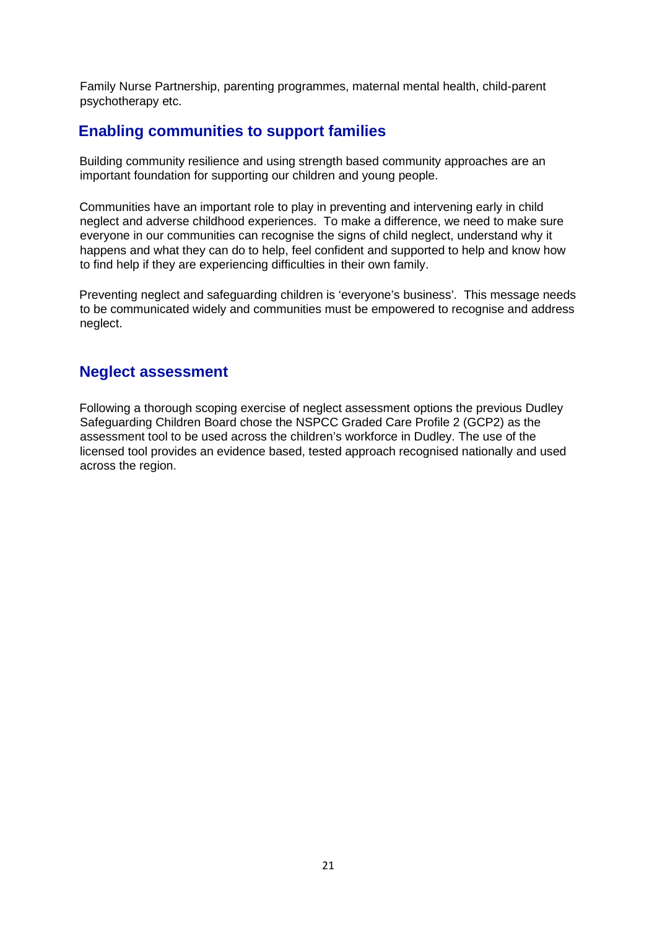Family Nurse Partnership, parenting programmes, maternal mental health, child-parent psychotherapy etc.

### <span id="page-20-0"></span>**Enabling communities to support families**

Building community resilience and using strength based community approaches are an important foundation for supporting our children and young people.

Communities have an important role to play in preventing and intervening early in child neglect and adverse childhood experiences. To make a difference, we need to make sure everyone in our communities can recognise the signs of child neglect, understand why it happens and what they can do to help, feel confident and supported to help and know how to find help if they are experiencing difficulties in their own family.

Preventing neglect and safeguarding children is 'everyone's business'. This message needs to be communicated widely and communities must be empowered to recognise and address neglect.

### **Neglect assessment**

Following a thorough scoping exercise of neglect assessment options the previous Dudley Safeguarding Children Board chose the NSPCC Graded Care Profile 2 (GCP2) as the assessment tool to be used across the children's workforce in Dudley. The use of the licensed tool provides an evidence based, tested approach recognised nationally and used across the region.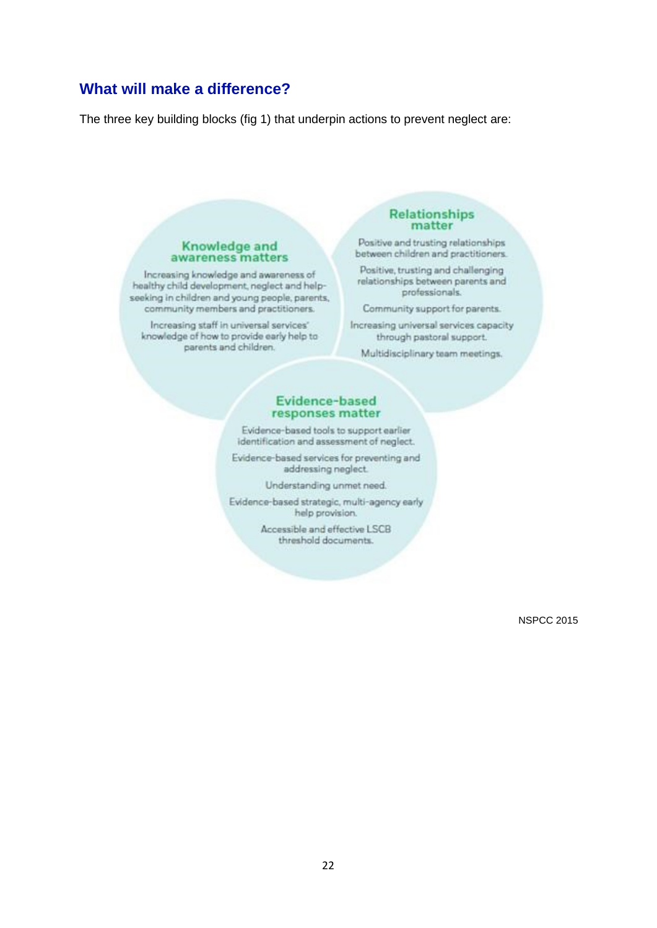### <span id="page-21-0"></span>**What will make a difference?**

The three key building blocks (fig 1) that underpin actions to prevent neglect are:

#### Knowledge and awareness matters

Increasing knowledge and awareness of healthy child development, neglect and helpseeking in children and young people, parents,<br>community members and practitioners.

Increasing staff in universal services' knowledge of how to provide early help to parents and children.

#### **Relationships** matter

Positive and trusting relationships between children and practitioners.

Positive, trusting and challenging relationships between parents and professionals.

Community support for parents.

Increasing universal services capacity through pastoral support.

Multidisciplinary team meetings.

#### Evidence-based responses matter

Evidence-based tools to support earlier identification and assessment of neglect.

Evidence-based services for preventing and addressing neglect.

Understanding unmet need.

Evidence-based strategic, multi-agency early help provision.

> Accessible and effective LSCB threshold documents.

> > NSPCC 2015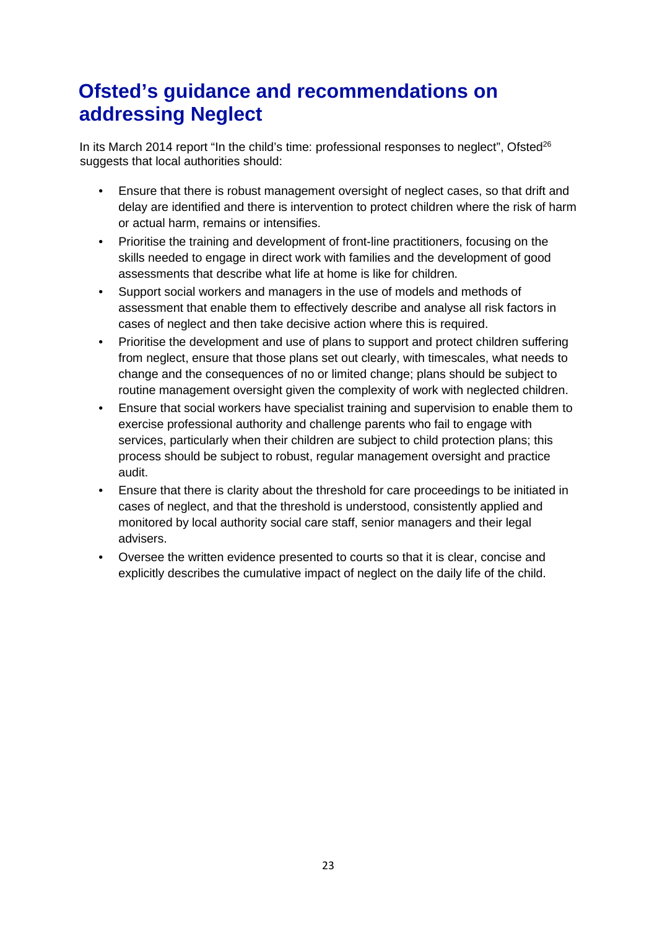## <span id="page-22-0"></span>**Ofsted's guidance and recommendations on addressing Neglect**

In its March 2014 report "In the child's time: professional responses to neglect", Ofsted $^{26}$ suggests that local authorities should:

- Ensure that there is robust management oversight of neglect cases, so that drift and delay are identified and there is intervention to protect children where the risk of harm or actual harm, remains or intensifies.
- Prioritise the training and development of front-line practitioners, focusing on the skills needed to engage in direct work with families and the development of good assessments that describe what life at home is like for children.
- Support social workers and managers in the use of models and methods of assessment that enable them to effectively describe and analyse all risk factors in cases of neglect and then take decisive action where this is required.
- Prioritise the development and use of plans to support and protect children suffering from neglect, ensure that those plans set out clearly, with timescales, what needs to change and the consequences of no or limited change; plans should be subject to routine management oversight given the complexity of work with neglected children.
- Ensure that social workers have specialist training and supervision to enable them to exercise professional authority and challenge parents who fail to engage with services, particularly when their children are subject to child protection plans; this process should be subject to robust, regular management oversight and practice audit.
- Ensure that there is clarity about the threshold for care proceedings to be initiated in cases of neglect, and that the threshold is understood, consistently applied and monitored by local authority social care staff, senior managers and their legal advisers.
- Oversee the written evidence presented to courts so that it is clear, concise and explicitly describes the cumulative impact of neglect on the daily life of the child.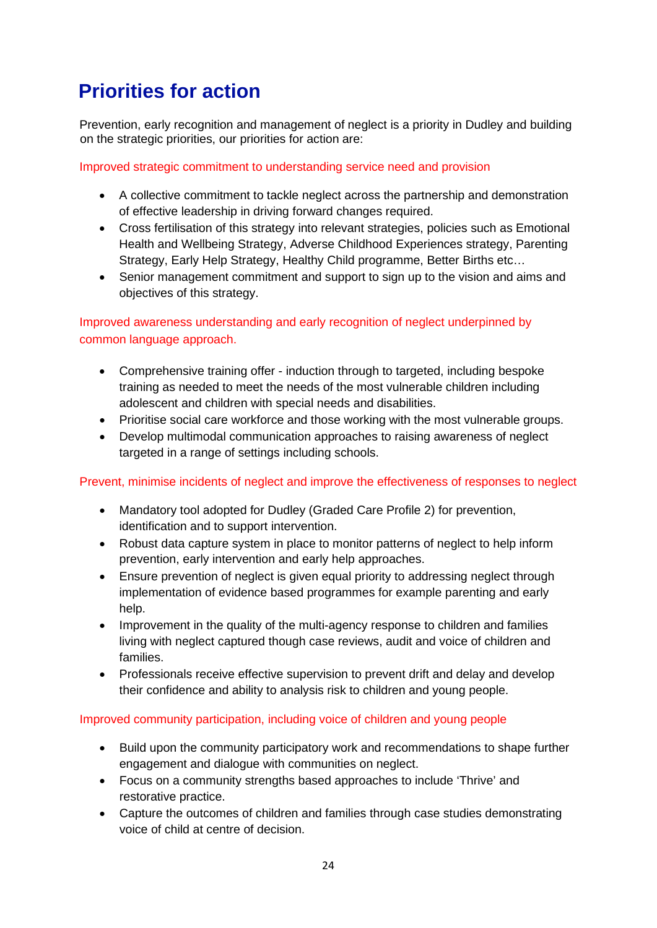## <span id="page-23-0"></span>**Priorities for action**

Prevention, early recognition and management of neglect is a priority in Dudley and building on the strategic priorities, our priorities for action are:

Improved strategic commitment to understanding service need and provision

- A collective commitment to tackle neglect across the partnership and demonstration of effective leadership in driving forward changes required.
- Cross fertilisation of this strategy into relevant strategies, policies such as Emotional Health and Wellbeing Strategy, Adverse Childhood Experiences strategy, Parenting Strategy, Early Help Strategy, Healthy Child programme, Better Births etc…
- Senior management commitment and support to sign up to the vision and aims and objectives of this strategy.

Improved awareness understanding and early recognition of neglect underpinned by common language approach.

- Comprehensive training offer induction through to targeted, including bespoke training as needed to meet the needs of the most vulnerable children including adolescent and children with special needs and disabilities.
- Prioritise social care workforce and those working with the most vulnerable groups.
- Develop multimodal communication approaches to raising awareness of neglect targeted in a range of settings including schools.

#### Prevent, minimise incidents of neglect and improve the effectiveness of responses to neglect

- Mandatory tool adopted for Dudley (Graded Care Profile 2) for prevention, identification and to support intervention.
- Robust data capture system in place to monitor patterns of neglect to help inform prevention, early intervention and early help approaches.
- Ensure prevention of neglect is given equal priority to addressing neglect through implementation of evidence based programmes for example parenting and early help.
- Improvement in the quality of the multi-agency response to children and families living with neglect captured though case reviews, audit and voice of children and families.
- Professionals receive effective supervision to prevent drift and delay and develop their confidence and ability to analysis risk to children and young people.

#### Improved community participation, including voice of children and young people

- Build upon the community participatory work and recommendations to shape further engagement and dialogue with communities on neglect.
- Focus on a community strengths based approaches to include 'Thrive' and restorative practice.
- Capture the outcomes of children and families through case studies demonstrating voice of child at centre of decision.